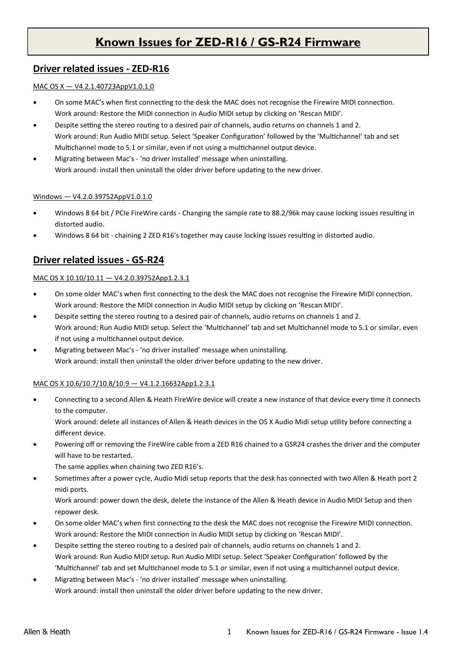## **Known Issues for ZED-R16 / GS-R24 Firmware**

## **Driver related issues - ZED-R16**

### MAC OS X — V4.2.1.40723AppV1.0.1.0

- On some MAC's when first connecting to the desk the MAC does not recognise the Firewire MIDI connection. Work around: Restore the MIDI connection in Audio MIDI setup by clicking on 'Rescan MIDI'.
- Despite setting the stereo routing to a desired pair of channels, audio returns on channels 1 and 2. Work around: Run Audio MIDI setup. Select 'Speaker Configuration' followed by the 'Multichannel' tab and set Multichannel mode to 5.1 or similar, even if not using a multichannel output device.
- Migrating between Mac's 'no driver installed' message when uninstalling. Work around: install then uninstall the older driver before updating to the new driver.

### Windows — V4.2.0.39752AppV1.0.1.0

- Windows 8 64 bit / PCIe FireWire cards Changing the sample rate to 88.2/96k may cause locking issues resulting in distorted audio.
- Windows 8 64 bit chaining 2 ZED R16's together may cause locking issues resulting in distorted audio.

## **Driver related issues - GS-R24**

### MAC OS X 10.10/10.11 — V4.2.0.39752App1.2.3.1

- On some older MAC's when first connecting to the desk the MAC does not recognise the Firewire MIDI connection. Work around: Restore the MIDI connection in Audio MIDI setup by clicking on 'Rescan MIDI'.
- Despite setting the stereo routing to a desired pair of channels, audio returns on channels 1 and 2. Work around: Run Audio MIDI setup. Select the 'Multichannel' tab and set Multichannel mode to 5.1 or similar, even if not using a multichannel output device.
- Migrating between Mac's 'no driver installed' message when uninstalling. Work around: install then uninstall the older driver before updating to the new driver.

### MAC OS X 10.6/10.7/10.8/10.9 — V4.1.2.16632App1.2.3.1

 Connecting to a second Allen & Heath FireWire device will create a new instance of that device every time it connects to the computer.

Work around: delete all instances of Allen & Heath devices in the OS X Audio Midi setup utility before connecting a different device.

 Powering off or removing the FireWire cable from a ZED R16 chained to a GSR24 crashes the driver and the computer will have to be restarted.

The same applies when chaining two ZED R16's.

 Sometimes after a power cycle, Audio Midi setup reports that the desk has connected with two Allen & Heath port 2 midi ports.

Work around: power down the desk, delete the instance of the Allen & Heath device in Audio MIDI Setup and then repower desk.

- On some older MAC's when first connecting to the desk the MAC does not recognise the Firewire MIDI connection. Work around: Restore the MIDI connection in Audio MIDI setup by clicking on 'Rescan MIDI'.
- Despite setting the stereo routing to a desired pair of channels, audio returns on channels 1 and 2. Work around: Run Audio MIDI setup. Run Audio MIDI setup. Select 'Speaker Configuration' followed by the 'Multichannel' tab and set Multichannel mode to 5.1 or similar, even if not using a multichannel output device.
- Migrating between Mac's 'no driver installed' message when uninstalling. Work around: install then uninstall the older driver before updating to the new driver.